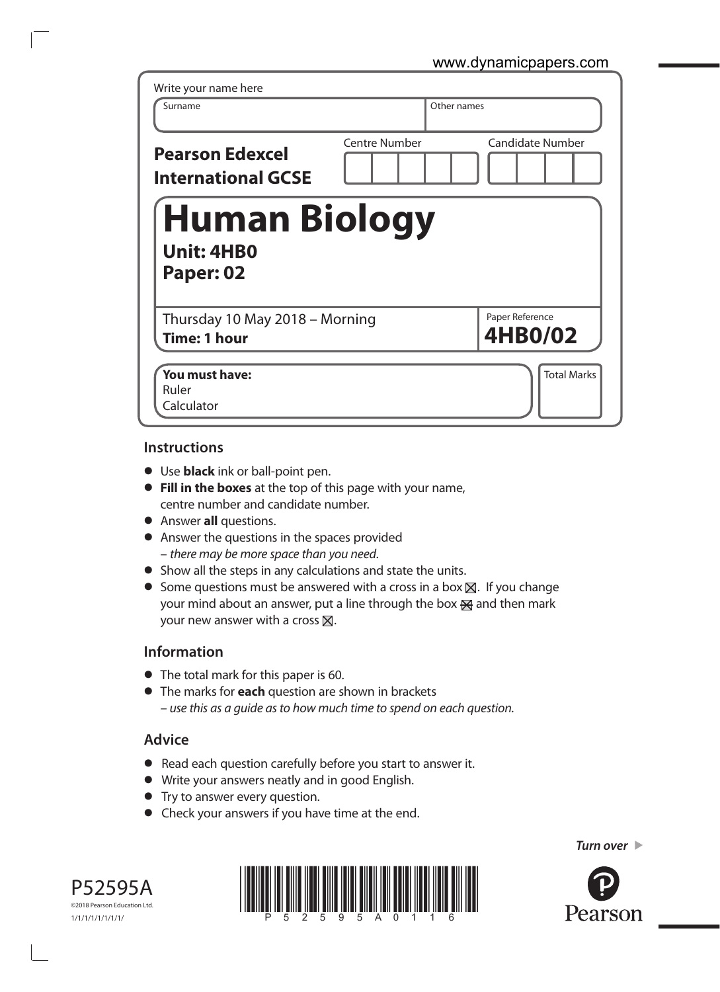### www.dynamicpapers.com

| Write your name here<br>Surname                        |                      | Other names                |
|--------------------------------------------------------|----------------------|----------------------------|
| <b>Pearson Edexcel</b><br><b>International GCSE</b>    | <b>Centre Number</b> | <b>Candidate Number</b>    |
| <b>Human Biology</b><br><b>Unit: 4HB0</b><br>Paper: 02 |                      |                            |
| Thursday 10 May 2018 – Morning<br>Time: 1 hour         |                      | Paper Reference<br>4HB0/02 |
| You must have:<br>Ruler<br>Calculator                  |                      | <b>Total Marks</b>         |

#### **Instructions**

- **•** Use **black** ink or ball-point pen.
- **• Fill in the boxes** at the top of this page with your name, centre number and candidate number.
- **•** Answer **all** questions.
- **•** Answer the questions in the spaces provided – *there may be more space than you need*.
- **•** Show all the steps in any calculations and state the units.
- Some questions must be answered with a cross in a box  $\boxtimes$ . If you change your mind about an answer, put a line through the box  $\mathbb{R}$  and then mark your new answer with a cross  $\times$ .

#### **Information**

- **•** The total mark for this paper is 60.
- **•** The marks for **each** question are shown in brackets *– use this as a guide as to how much time to spend on each question.*

### **Advice**

- **•** Read each question carefully before you start to answer it.
- **•** Write your answers neatly and in good English.
- **•** Try to answer every question.
- **•** Check your answers if you have time at the end.





*Turn over* 

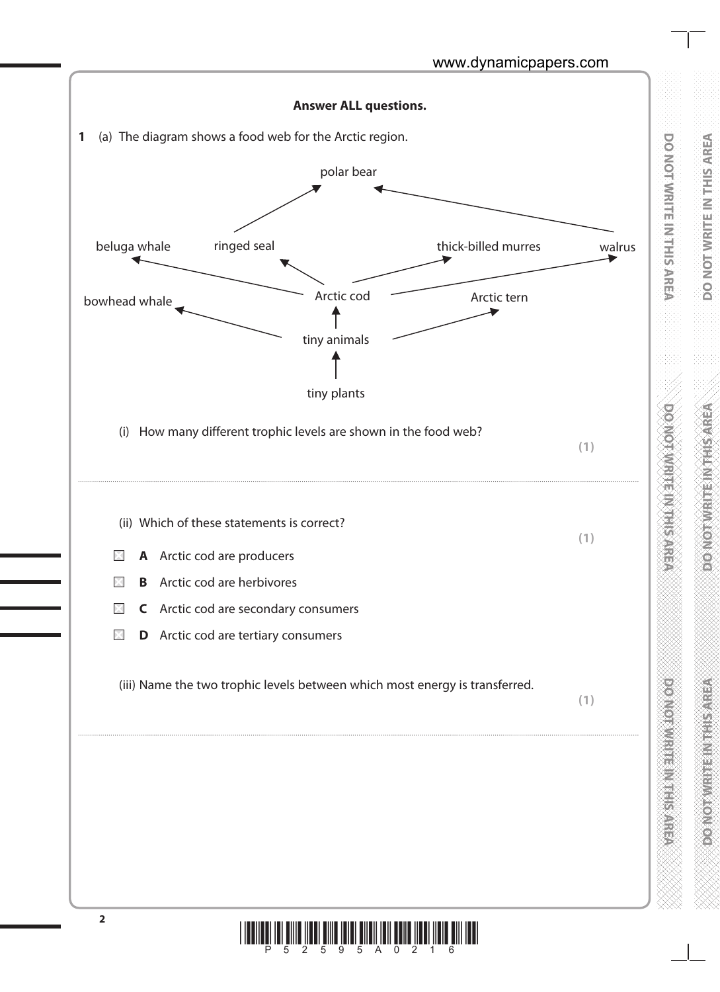

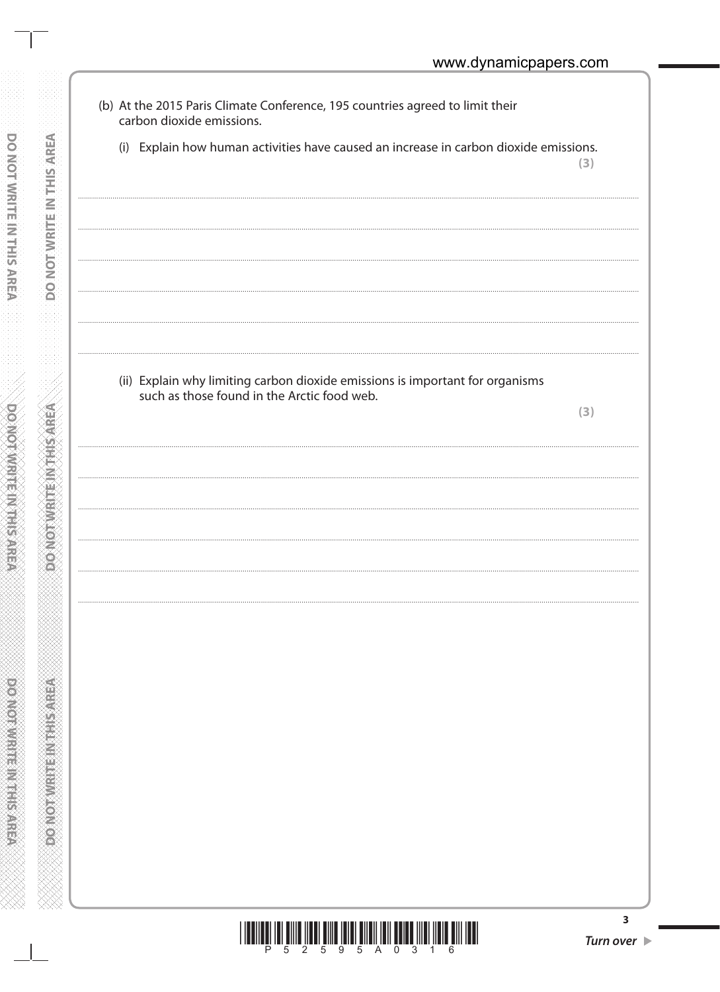(b) At the 2015 Paris Climate Conference, 195 countries agreed to limit their carbon dioxide emissions. (i) Explain how human activities have caused an increase in carbon dioxide emissions.  $(3)$ (ii) Explain why limiting carbon dioxide emissions is important for organisms such as those found in the Arctic food web.  $(3)$  $\overline{\mathbf{3}}$ 

5 2 5 9 5 A 0 3 1

-6

**DO NOT WRITE IN THIS AREA** 

**DONOT WRITEIN THIS AREA** 

**PONOT WRITEINARD SAREW**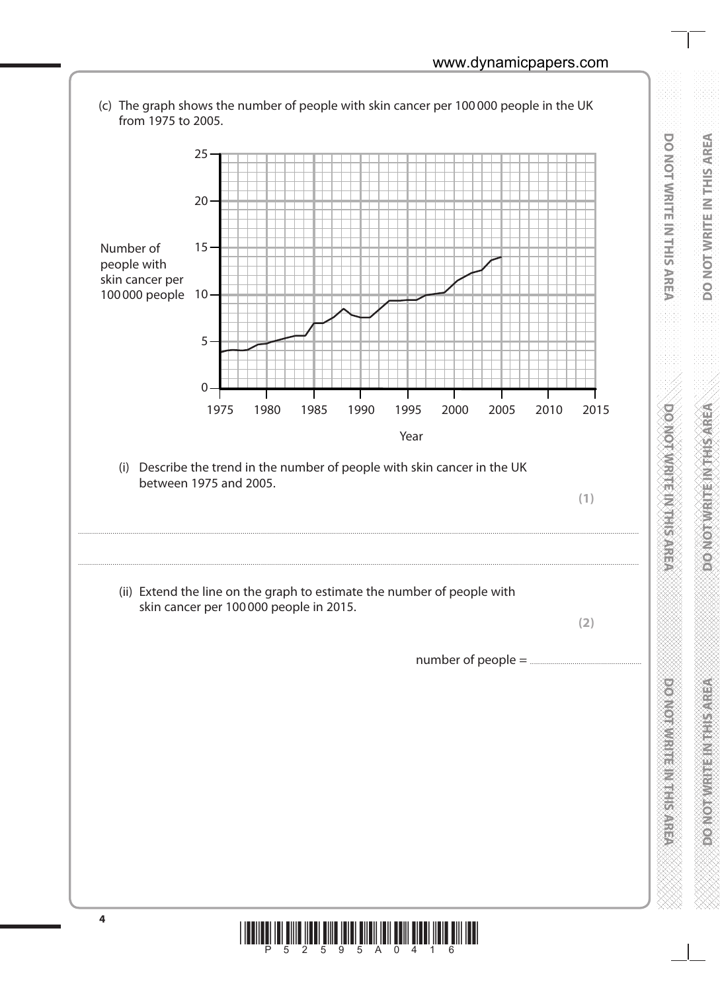(c) The graph shows the number of people with skin cancer per 100000 people in the UK from 1975 to 2005.

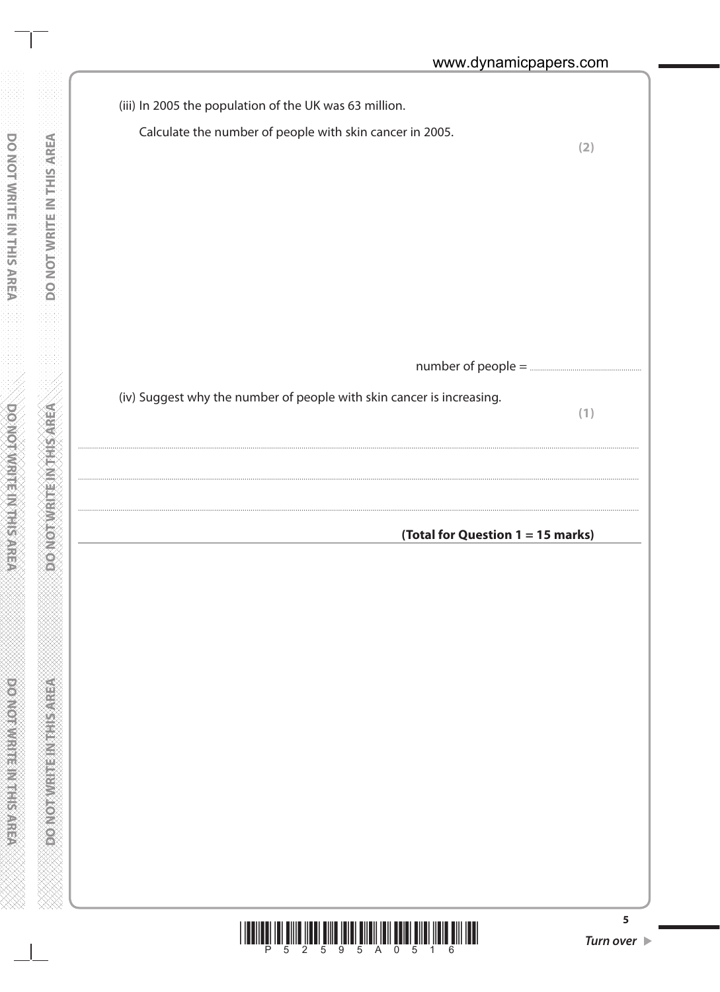| (iii) In 2005 the population of the UK was 63 million.                |     |
|-----------------------------------------------------------------------|-----|
| Calculate the number of people with skin cancer in 2005.              |     |
|                                                                       | (2) |
|                                                                       |     |
|                                                                       |     |
|                                                                       |     |
|                                                                       |     |
|                                                                       |     |
|                                                                       |     |
|                                                                       |     |
| (iv) Suggest why the number of people with skin cancer is increasing. |     |
|                                                                       | (1) |
|                                                                       |     |
|                                                                       |     |
|                                                                       |     |
| (Total for Question 1 = 15 marks)                                     |     |
|                                                                       |     |
|                                                                       |     |
|                                                                       |     |
|                                                                       |     |
|                                                                       |     |
|                                                                       |     |
|                                                                       |     |
|                                                                       |     |
|                                                                       |     |
|                                                                       |     |
|                                                                       |     |
|                                                                       |     |
|                                                                       |     |

DO NOT WRITE IN THIS AREA

**DONOTWRITE INTHIS AREA** 

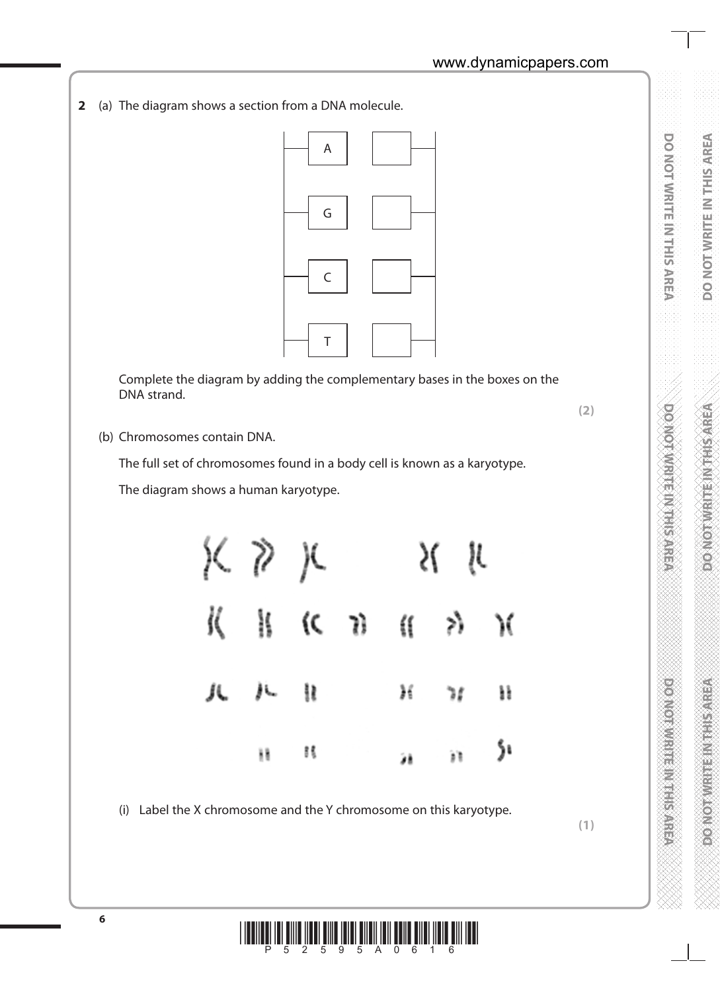**2** (a) The diagram shows a section from a DNA molecule.



 Complete the diagram by adding the complementary bases in the boxes on the DNA strand.

(b) Chromosomes contain DNA.

The full set of chromosomes found in a body cell is known as a karyotype.

The diagram shows a human karyotype.



(i) Label the X chromosome and the Y chromosome on this karyotype.

**(2)**



**DO NOT WRITE IN THIS AREA**

**DOMESTIC MELTINGS**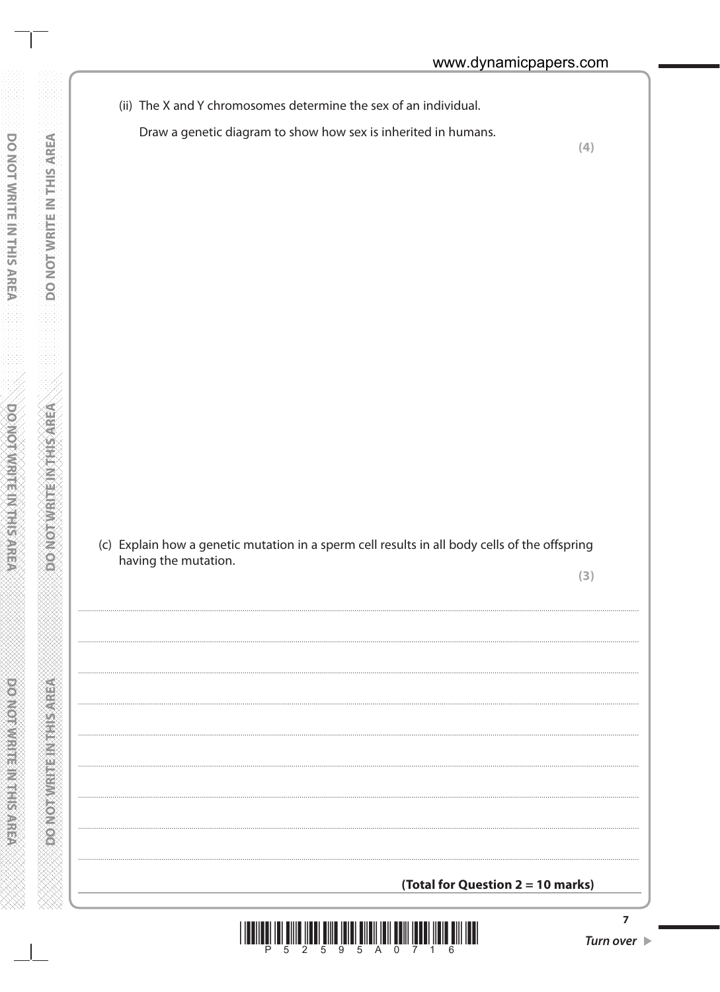(ii) The X and Y chromosomes determine the sex of an individual.

Draw a genetic diagram to show how sex is inherited in humans.

 $(4)$ 

| (c) Explain how a genetic mutation in a sperm cell results in all body cells of the offspring |  |
|-----------------------------------------------------------------------------------------------|--|
| having the mutation.                                                                          |  |

 $(3)$ 

| (Total for Question 2 = 10 marks) |  |  |  |  |  |  |  |
|-----------------------------------|--|--|--|--|--|--|--|
|-----------------------------------|--|--|--|--|--|--|--|



**DOMOT WRITEIN THIS AREA**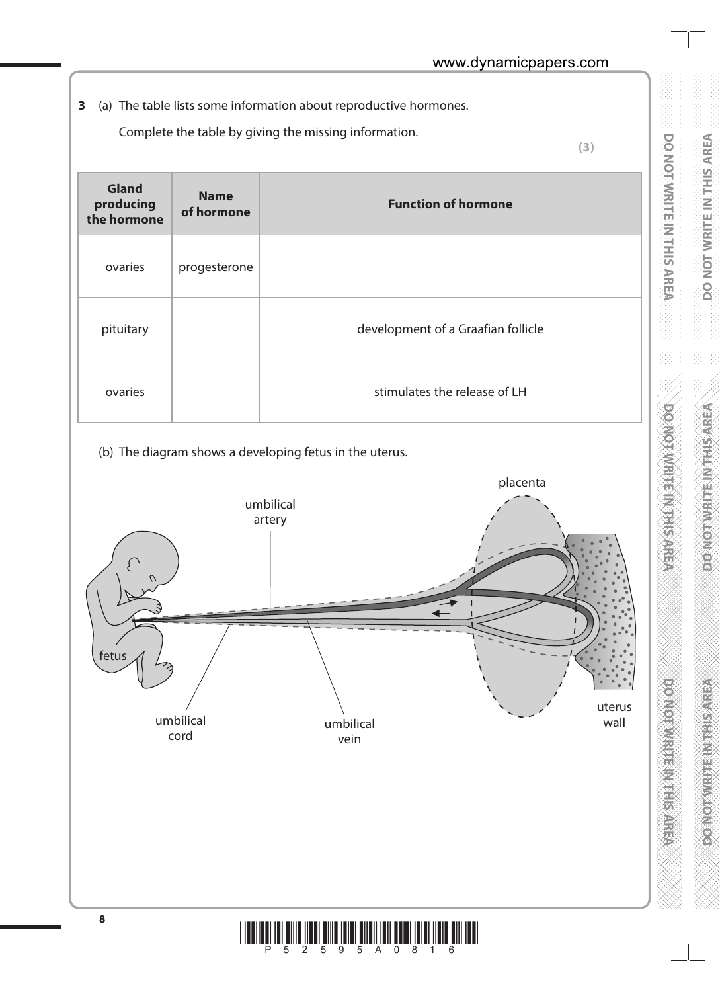**3** (a) The table lists some information about reproductive hormones.

Complete the table by giving the missing information.

**(3)**

**DO NOT WRITE IN THE INTERNATION** 

DO NOT WRITE IN THIS AREA

**DO NOT WRITE IN THE INTERNATIONAL CONTRACTOR** 

**DOMOTIVIRITE IN THIS AREA** 

**DO NOT WRITE IN THIS AREA**

**DOMOTIVE INTERNATIONAL** 

| Gland<br>producing<br>the hormone | <b>Name</b><br>of hormone | <b>Function of hormone</b>                                                                                                        |
|-----------------------------------|---------------------------|-----------------------------------------------------------------------------------------------------------------------------------|
| ovaries                           | progesterone              |                                                                                                                                   |
| pituitary                         |                           | development of a Graafian follicle                                                                                                |
| ovaries                           |                           | stimulates the release of LH                                                                                                      |
| E<br>fetus,                       | umbilical<br>cord         | (b) The diagram shows a developing fetus in the uterus.<br>placenta<br>umbilical<br>artery<br>uterus<br>wall<br>umbilical<br>vein |

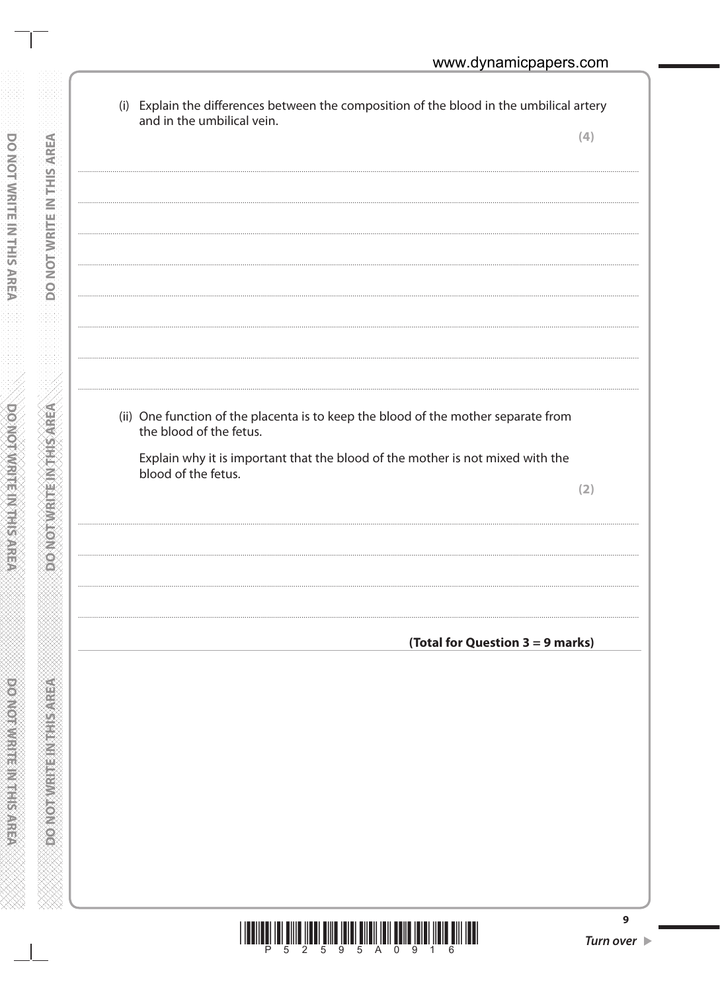| and in the umbilical vein.                                                                            | (4) |
|-------------------------------------------------------------------------------------------------------|-----|
|                                                                                                       |     |
|                                                                                                       |     |
|                                                                                                       |     |
|                                                                                                       |     |
|                                                                                                       |     |
|                                                                                                       |     |
|                                                                                                       |     |
|                                                                                                       |     |
|                                                                                                       |     |
| (ii) One function of the placenta is to keep the blood of the mother separate from                    |     |
| the blood of the fetus.                                                                               |     |
| Explain why it is important that the blood of the mother is not mixed with the<br>blood of the fetus. |     |
|                                                                                                       | (2) |
|                                                                                                       |     |
|                                                                                                       |     |
|                                                                                                       |     |
|                                                                                                       |     |
|                                                                                                       |     |
| (Total for Question 3 = 9 marks)                                                                      |     |
|                                                                                                       |     |
|                                                                                                       |     |
|                                                                                                       |     |
|                                                                                                       |     |
|                                                                                                       |     |
|                                                                                                       |     |
|                                                                                                       |     |
|                                                                                                       |     |
|                                                                                                       |     |

**DONOTWRITE IN THIS AREA** 

**DOMOTIVIBITE INTERNATEA** 

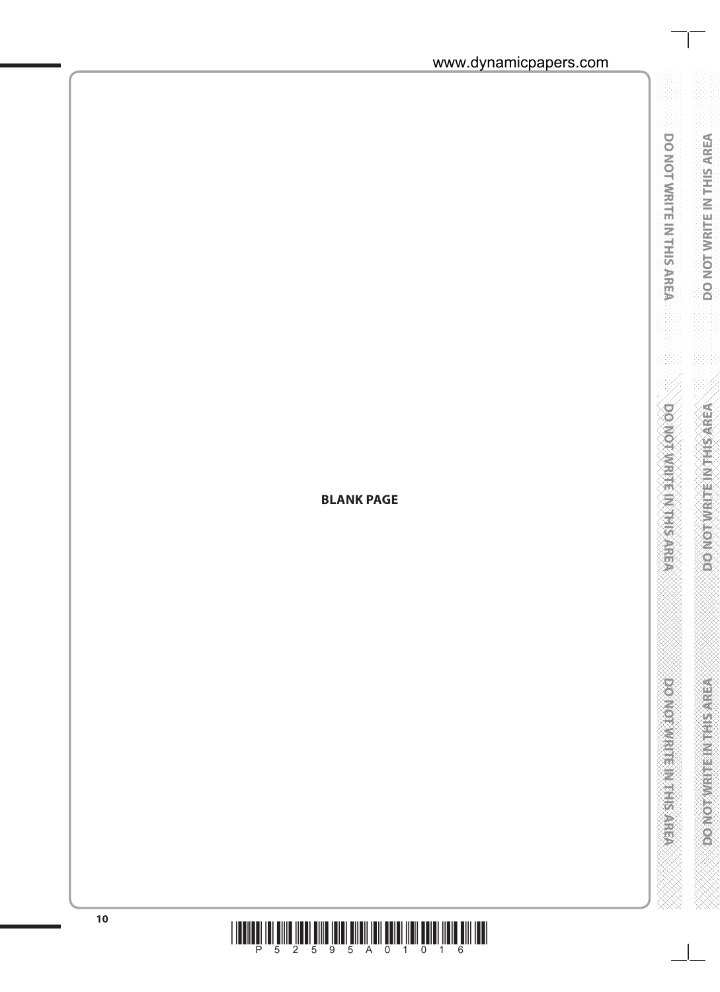# www.dynamicpapers.com

**BLANK PAGE**

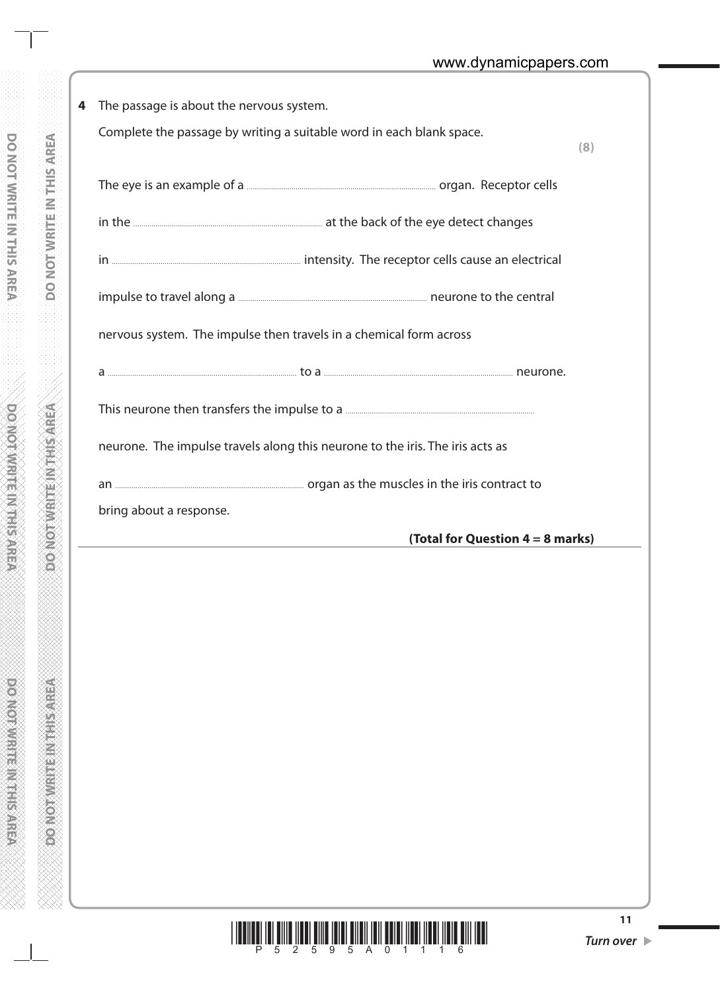| 4 | The passage is about the nervous system.                                      |                                    |     |
|---|-------------------------------------------------------------------------------|------------------------------------|-----|
|   | Complete the passage by writing a suitable word in each blank space.          |                                    |     |
|   |                                                                               |                                    | (8) |
|   |                                                                               |                                    |     |
|   |                                                                               |                                    |     |
|   |                                                                               |                                    |     |
|   |                                                                               |                                    |     |
|   | nervous system. The impulse then travels in a chemical form across            |                                    |     |
|   | a <u>manual neurone</u> , to a manual contract of the neurone.                |                                    |     |
|   |                                                                               |                                    |     |
|   | neurone. The impulse travels along this neurone to the iris. The iris acts as |                                    |     |
|   |                                                                               |                                    |     |
|   | bring about a response.                                                       |                                    |     |
|   |                                                                               | (Total for Question $4 = 8$ marks) |     |



WWW.WWW.WWWWWW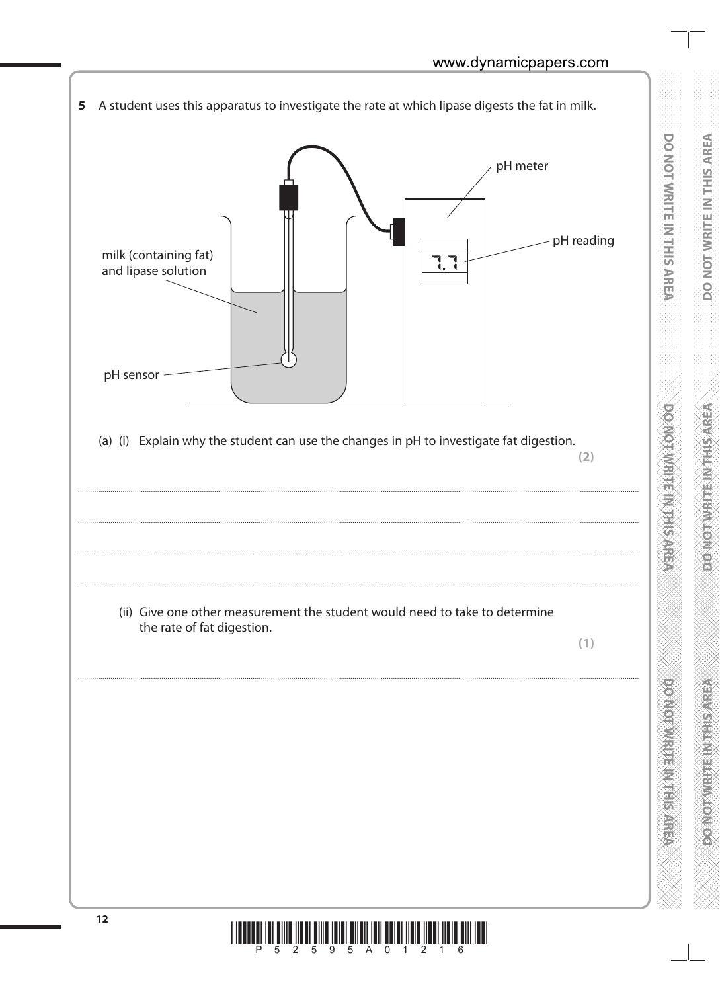**DOMOTIVIRITE IN STREAM** 

**DOMOTIVE IN EIGHT SARE** 

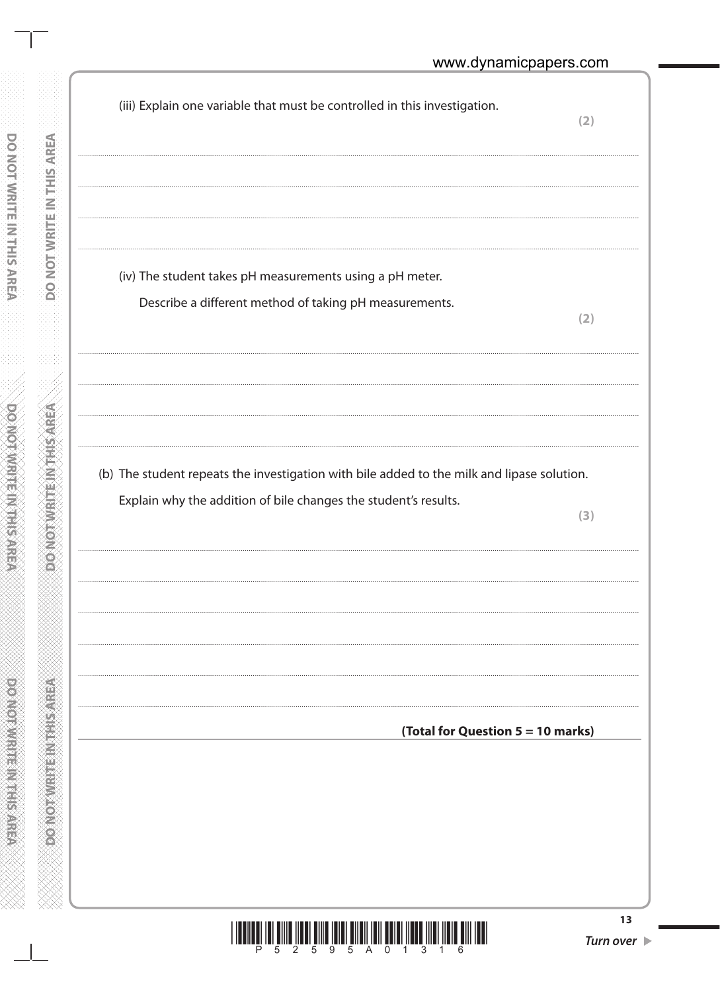| (iii) Explain one variable that must be controlled in this investigation.                  |                                   | (2) |
|--------------------------------------------------------------------------------------------|-----------------------------------|-----|
|                                                                                            |                                   |     |
|                                                                                            |                                   |     |
|                                                                                            |                                   |     |
| (iv) The student takes pH measurements using a pH meter.                                   |                                   |     |
| Describe a different method of taking pH measurements.                                     |                                   | (2) |
|                                                                                            |                                   |     |
|                                                                                            |                                   |     |
|                                                                                            |                                   |     |
| (b) The student repeats the investigation with bile added to the milk and lipase solution. |                                   |     |
| Explain why the addition of bile changes the student's results.                            |                                   |     |
|                                                                                            |                                   | (3) |
|                                                                                            |                                   |     |
|                                                                                            |                                   |     |
|                                                                                            |                                   |     |
|                                                                                            |                                   |     |
|                                                                                            | (Total for Question 5 = 10 marks) |     |
|                                                                                            |                                   |     |
|                                                                                            |                                   |     |
|                                                                                            |                                   |     |
|                                                                                            |                                   |     |
|                                                                                            |                                   |     |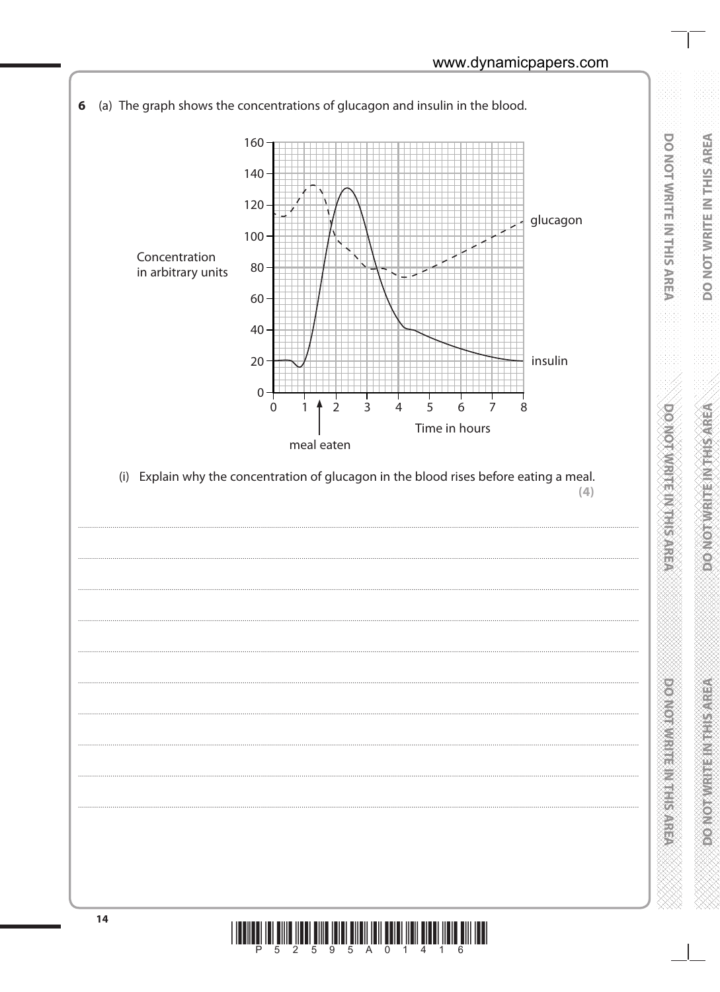**DOMOTAWRITE IN THIS AREA** 

**POSTER IN THE REPORT OF STREET** 

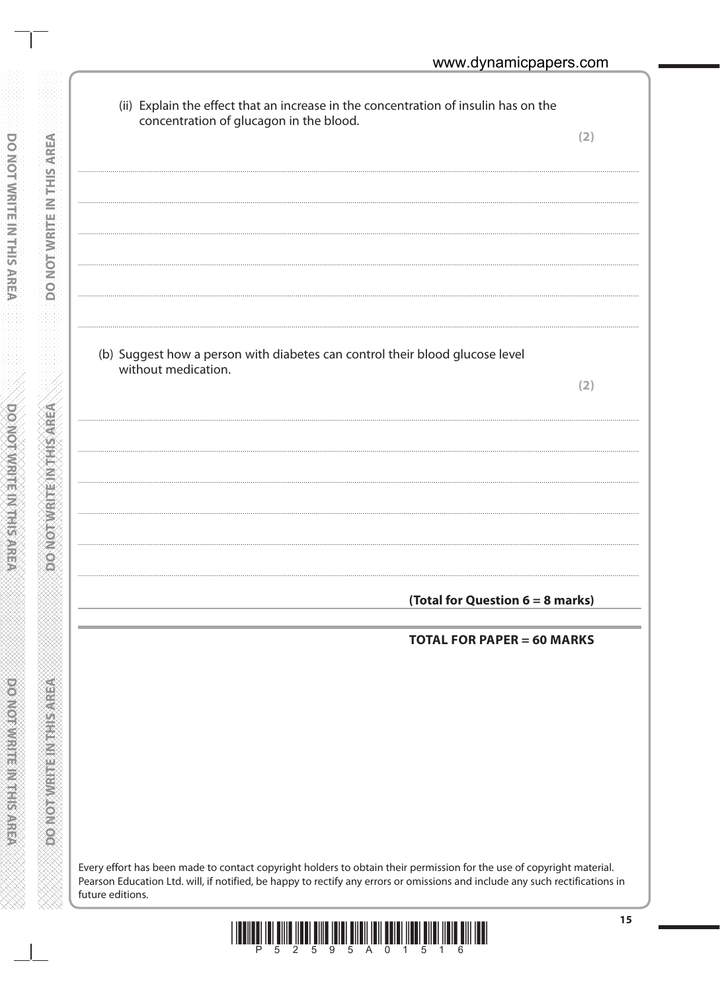| concentration of glucagon in the blood.                                                             | (2)                               |
|-----------------------------------------------------------------------------------------------------|-----------------------------------|
|                                                                                                     |                                   |
|                                                                                                     |                                   |
|                                                                                                     |                                   |
|                                                                                                     |                                   |
|                                                                                                     |                                   |
|                                                                                                     |                                   |
| (b) Suggest how a person with diabetes can control their blood glucose level<br>without medication. |                                   |
|                                                                                                     | (2)                               |
|                                                                                                     |                                   |
|                                                                                                     |                                   |
|                                                                                                     |                                   |
|                                                                                                     |                                   |
|                                                                                                     |                                   |
|                                                                                                     |                                   |
|                                                                                                     | (Total for Question 6 = 8 marks)  |
|                                                                                                     | <b>TOTAL FOR PAPER = 60 MARKS</b> |
|                                                                                                     |                                   |
|                                                                                                     |                                   |
|                                                                                                     |                                   |
|                                                                                                     |                                   |
|                                                                                                     |                                   |
|                                                                                                     |                                   |
|                                                                                                     |                                   |

DONOTWRITEIN THIS AREA

**COMORNIER DE L'ARCHIVES**